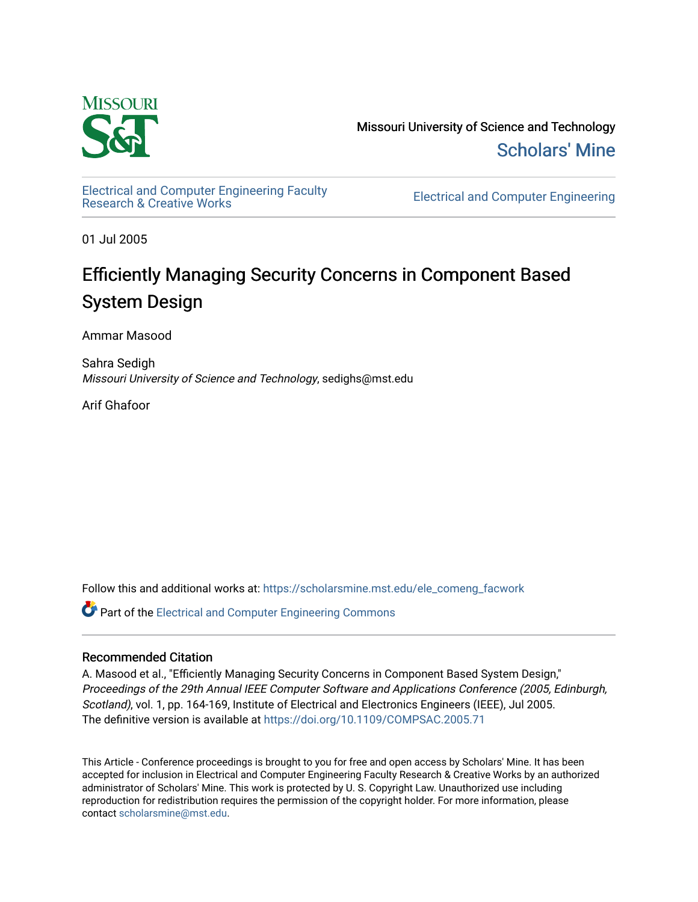

Missouri University of Science and Technology [Scholars' Mine](https://scholarsmine.mst.edu/) 

[Electrical and Computer Engineering Faculty](https://scholarsmine.mst.edu/ele_comeng_facwork)

**Electrical and Computer Engineering** 

01 Jul 2005

# Efficiently Managing Security Concerns in Component Based System Design

Ammar Masood

Sahra Sedigh Missouri University of Science and Technology, sedighs@mst.edu

Arif Ghafoor

Follow this and additional works at: [https://scholarsmine.mst.edu/ele\\_comeng\\_facwork](https://scholarsmine.mst.edu/ele_comeng_facwork?utm_source=scholarsmine.mst.edu%2Fele_comeng_facwork%2F1001&utm_medium=PDF&utm_campaign=PDFCoverPages)

**C** Part of the Electrical and Computer Engineering Commons

## Recommended Citation

A. Masood et al., "Efficiently Managing Security Concerns in Component Based System Design," Proceedings of the 29th Annual IEEE Computer Software and Applications Conference (2005, Edinburgh, Scotland), vol. 1, pp. 164-169, Institute of Electrical and Electronics Engineers (IEEE), Jul 2005. The definitive version is available at <https://doi.org/10.1109/COMPSAC.2005.71>

This Article - Conference proceedings is brought to you for free and open access by Scholars' Mine. It has been accepted for inclusion in Electrical and Computer Engineering Faculty Research & Creative Works by an authorized administrator of Scholars' Mine. This work is protected by U. S. Copyright Law. Unauthorized use including reproduction for redistribution requires the permission of the copyright holder. For more information, please contact [scholarsmine@mst.edu](mailto:scholarsmine@mst.edu).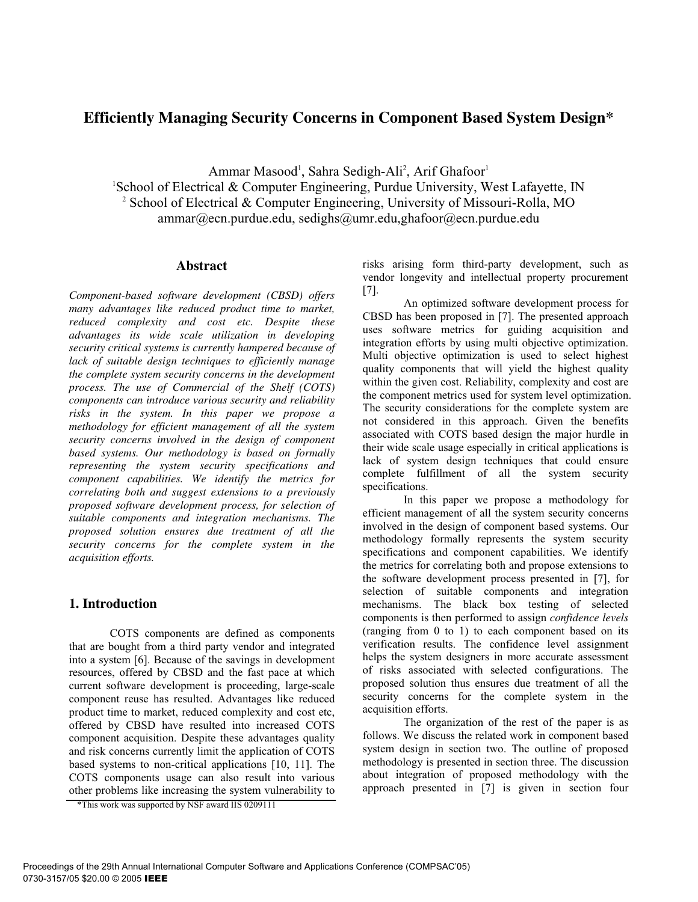# **Efficiently Managing Security Concerns in Component Based System Design\***

Ammar Masood<sup>1</sup>, Sahra Sedigh-Ali<sup>2</sup>, Arif Ghafoor<sup>1</sup> <sup>1</sup>School of Electrical & Computer Engineering, Purdue University, West Lafayette, IN 2 School of Electrical & Computer Engineering, University of Missouri-Rolla, MO ammar@ecn.purdue.edu, sedighs@umr.edu,ghafoor@ecn.purdue.edu

## **Abstract**

*Component-based software development (CBSD) offers many advantages like reduced product time to market, reduced complexity and cost etc. Despite these advantages its wide scale utilization in developing security critical systems is currently hampered because of lack of suitable design techniques to efficiently manage the complete system security concerns in the development process. The use of Commercial of the Shelf (COTS) components can introduce various security and reliability risks in the system. In this paper we propose a methodology for efficient management of all the system security concerns involved in the design of component based systems. Our methodology is based on formally representing the system security specifications and component capabilities. We identify the metrics for correlating both and suggest extensions to a previously proposed software development process, for selection of suitable components and integration mechanisms. The proposed solution ensures due treatment of all the security concerns for the complete system in the acquisition efforts.*

# **1. Introduction**

COTS components are defined as components that are bought from a third party vendor and integrated into a system [6]. Because of the savings in development resources, offered by CBSD and the fast pace at which current software development is proceeding, large-scale component reuse has resulted. Advantages like reduced product time to market, reduced complexity and cost etc, offered by CBSD have resulted into increased COTS component acquisition. Despite these advantages quality and risk concerns currently limit the application of COTS based systems to non-critical applications [10, 11]. The COTS components usage can also result into various other problems like increasing the system vulnerability to risks arising form third-party development, such as vendor longevity and intellectual property procurement [7].

An optimized software development process for CBSD has been proposed in [7]. The presented approach uses software metrics for guiding acquisition and integration efforts by using multi objective optimization. Multi objective optimization is used to select highest quality components that will yield the highest quality within the given cost. Reliability, complexity and cost are the component metrics used for system level optimization. The security considerations for the complete system are not considered in this approach. Given the benefits associated with COTS based design the major hurdle in their wide scale usage especially in critical applications is lack of system design techniques that could ensure complete fulfillment of all the system security specifications.

In this paper we propose a methodology for efficient management of all the system security concerns involved in the design of component based systems. Our methodology formally represents the system security specifications and component capabilities. We identify the metrics for correlating both and propose extensions to the software development process presented in [7], for selection of suitable components and integration mechanisms. The black box testing of selected components is then performed to assign *confidence levels* (ranging from 0 to 1) to each component based on its verification results. The confidence level assignment helps the system designers in more accurate assessment of risks associated with selected configurations. The proposed solution thus ensures due treatment of all the security concerns for the complete system in the acquisition efforts.

The organization of the rest of the paper is as follows. We discuss the related work in component based system design in section two. The outline of proposed methodology is presented in section three. The discussion about integration of proposed methodology with the approach presented in [7] is given in section four

<sup>\*</sup>This work was supported by NSF award IIS 0209111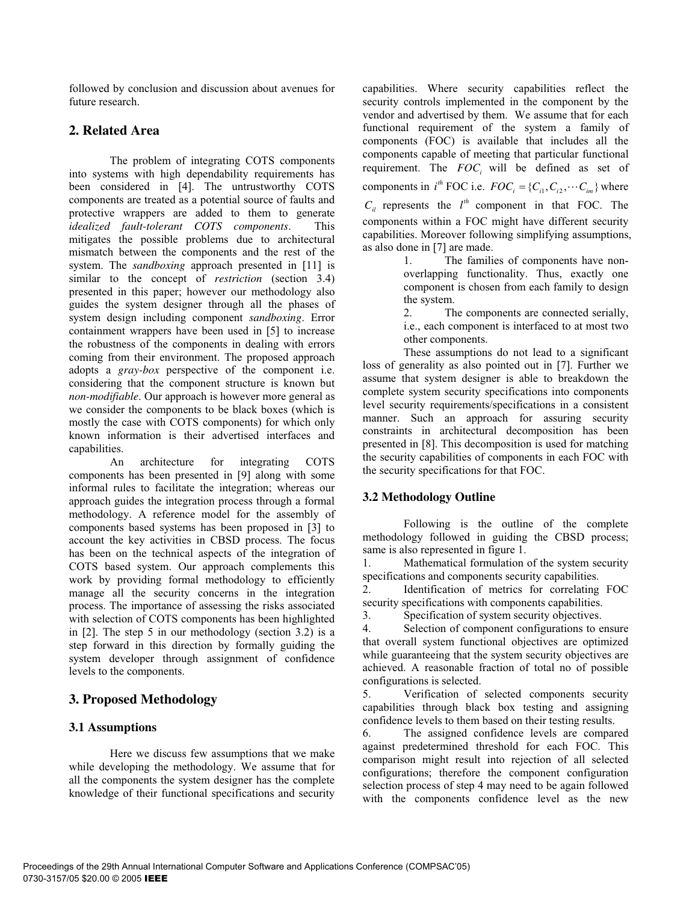followed by conclusion and discussion about avenues for future research.

# **2. Related Area**

The problem of integrating COTS components into systems with high dependability requirements has been considered in [4]. The untrustworthy COTS components are treated as a potential source of faults and protective wrappers are added to them to generate *idealized fault-tolerant COTS components*. This mitigates the possible problems due to architectural mismatch between the components and the rest of the system. The *sandboxing* approach presented in [11] is similar to the concept of *restriction* (section 3.4) presented in this paper; however our methodology also guides the system designer through all the phases of system design including component *sandboxing*. Error containment wrappers have been used in [5] to increase the robustness of the components in dealing with errors coming from their environment. The proposed approach adopts a *gray-box* perspective of the component i.e. considering that the component structure is known but *non-modifiable*. Our approach is however more general as we consider the components to be black boxes (which is mostly the case with COTS components) for which only known information is their advertised interfaces and capabilities.

An architecture for integrating COTS components has been presented in [9] along with some informal rules to facilitate the integration; whereas our approach guides the integration process through a formal methodology. A reference model for the assembly of components based systems has been proposed in [3] to account the key activities in CBSD process. The focus has been on the technical aspects of the integration of COTS based system. Our approach complements this work by providing formal methodology to efficiently manage all the security concerns in the integration process. The importance of assessing the risks associated with selection of COTS components has been highlighted in [2]. The step 5 in our methodology (section 3.2) is a step forward in this direction by formally guiding the system developer through assignment of confidence levels to the components.

# **3. Proposed Methodology**

# **3.1 Assumptions**

Here we discuss few assumptions that we make while developing the methodology. We assume that for all the components the system designer has the complete knowledge of their functional specifications and security

capabilities. Where security capabilities reflect the security controls implemented in the component by the vendor and advertised by them. We assume that for each functional requirement of the system a family of components (FOC) is available that includes all the components capable of meeting that particular functional requirement. The *FOC*<sub>*i*</sub> will be defined as set of components in  $i^h$  *FOC* i.e.  $FOC_i = \{C_{i1}, C_{i2}, \cdots C_{i_m}\}$  where  $C_{il}$  represents the  $l^{th}$  component in that FOC. The components within a FOC might have different security capabilities. Moreover following simplifying assumptions, as also done in [7] are made.

1. The families of components have nonoverlapping functionality. Thus, exactly one component is chosen from each family to design the system.

2. The components are connected serially, i.e., each component is interfaced to at most two other components.

These assumptions do not lead to a significant loss of generality as also pointed out in [7]. Further we assume that system designer is able to breakdown the complete system security specifications into components level security requirements/specifications in a consistent manner. Such an approach for assuring security constraints in architectural decomposition has been presented in [8]. This decomposition is used for matching the security capabilities of components in each FOC with the security specifications for that FOC.

## **3.2 Methodology Outline**

Following is the outline of the complete methodology followed in guiding the CBSD process; same is also represented in figure 1.

1. Mathematical formulation of the system security specifications and components security capabilities.

2. Identification of metrics for correlating FOC security specifications with components capabilities.

3. Specification of system security objectives.

4. Selection of component configurations to ensure that overall system functional objectives are optimized while guaranteeing that the system security objectives are achieved. A reasonable fraction of total no of possible configurations is selected.

5. Verification of selected components security capabilities through black box testing and assigning confidence levels to them based on their testing results.

6. The assigned confidence levels are compared against predetermined threshold for each FOC. This comparison might result into rejection of all selected configurations; therefore the component configuration selection process of step 4 may need to be again followed with the components confidence level as the new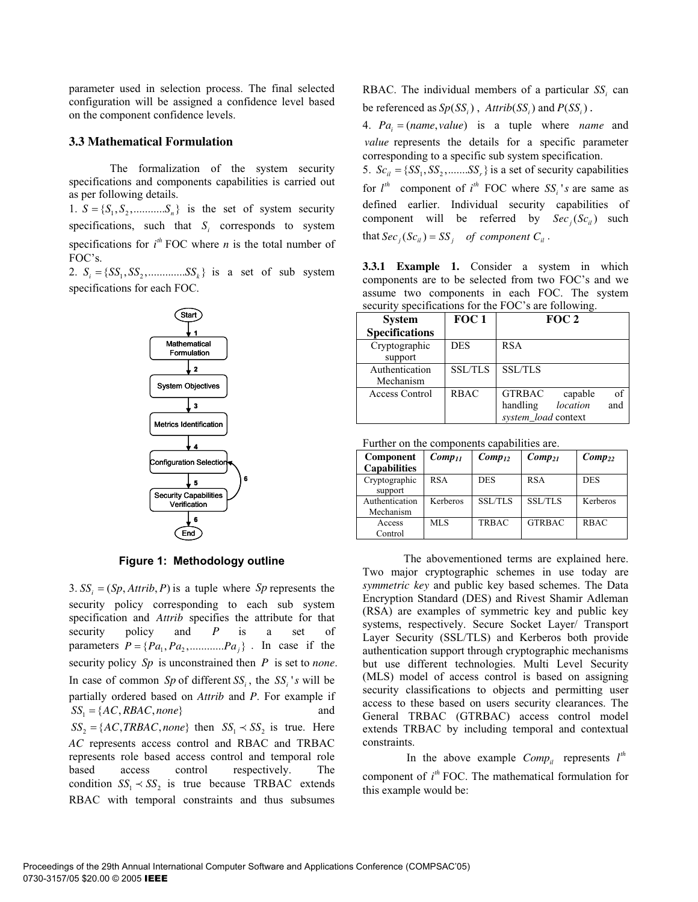parameter used in selection process. The final selected configuration will be assigned a confidence level based on the component confidence levels.

## **3.3 Mathematical Formulation**

The formalization of the system security specifications and components capabilities is carried out as per following details.

1.  $S = \{S_1, S_2, \dots, S_n\}$  is the set of system security specifications, such that  $S_i$  corresponds to system specifications for  $i<sup>th</sup>$  FOC where *n* is the total number of FOC's.

2.  $S_i = \{SS_1, SS_2, \dots \dots \dots \dots \dots \dots \dots \dots \dots \dots \dots \dots \dots \dots \dots \dots \}$  *i*s a set of sub system specifications for each FOC.



**Figure 1: Methodology outline**

3.  $SS_i = (Sp, Attrib, P)$  is a tuple where *Sp* represents the security policy corresponding to each sub system specification and *Attrib* specifies the attribute for that security policy and *P* is a set of parameters  $P = \{ Pa_1, Pa_2, \dots, Pa_j \}$ . In case if the security policy *Sp* is unconstrained then *P* is set to *none*. In case of common *Sp* of different  $SS_i$ , the  $SS_i$ 's will be partially ordered based on *Attrib* and *P*. For example if and  $SS_2 = \{AC, TRBAC, none\}$  then  $SS_1 \prec SS_2$  is true. Here *AC* represents access control and RBAC and TRBAC represents role based access control and temporal role based access control respectively. The condition  $SS_1 \prec SS_2$  is true because TRBAC extends RBAC with temporal constraints and thus subsumes  $SS_1 = \{AC, RBAC, none\}$ 

RBAC. The individual members of a particular  $SS_i$  can be referenced as  $Sp(SS<sub>i</sub>)$ ,  $Artrib(SS<sub>i</sub>)$  and  $P(SS<sub>i</sub>)$ .

4.  $Pa_i = (name, value)$  is a tuple where *name* and *value* represents the details for a specific parameter corresponding to a specific sub system specification.

5.  $Sc_{ii} = \{SS_1, SS_2, \dots, SS_r\}$  is a set of security capabilities for  $l^{\text{th}}$  component of  $i^{\text{th}}$  FOC where  $SS_i$ 's are same as defined earlier. Individual security capabilities of component will be referred by  $Sec_j(Sc_{ij})$  such that  $\text{Sec}_i(\text{Sc}_{ii}) = \text{SS}_i$  of component  $C_{ii}$ .

**3.3.1 Example 1.** Consider a system in which components are to be selected from two FOC's and we assume two components in each FOC. The system security specifications for the FOC's are following.

| <b>System</b>               | FOC <sub>1</sub> | FOC 2                                                                                |  |  |
|-----------------------------|------------------|--------------------------------------------------------------------------------------|--|--|
| <b>Specifications</b>       |                  |                                                                                      |  |  |
| Cryptographic<br>support    | <b>DES</b>       | <b>RSA</b>                                                                           |  |  |
| Authentication<br>Mechanism | <b>SSL/TLS</b>   | <b>SSL/TLS</b>                                                                       |  |  |
| <b>Access Control</b>       | <b>RBAC</b>      | of<br><b>GTRBAC</b><br>capable<br>location<br>handling<br>and<br>system load context |  |  |

| Further on the components capabilities are. |             |                |                |             |  |  |
|---------------------------------------------|-------------|----------------|----------------|-------------|--|--|
| Component                                   | $Comp_{II}$ | $Comp_{12}$    | $Comp_{21}$    | $Comp_{22}$ |  |  |
| <b>Capabilities</b>                         |             |                |                |             |  |  |
| Cryptographic<br>support                    | <b>RSA</b>  | <b>DES</b>     | <b>RSA</b>     | <b>DES</b>  |  |  |
| Authentication<br>Mechanism                 | Kerberos    | <b>SSL/TLS</b> | <b>SSL/TLS</b> | Kerberos    |  |  |
| Access<br>Control                           | MLS         | <b>TRBAC</b>   | <b>GTRBAC</b>  | <b>RBAC</b> |  |  |

The abovementioned terms are explained here. Two major cryptographic schemes in use today are *symmetric key* and public key based schemes. The Data Encryption Standard (DES) and Rivest Shamir Adleman (RSA) are examples of symmetric key and public key systems, respectively. Secure Socket Layer/ Transport Layer Security (SSL/TLS) and Kerberos both provide authentication support through cryptographic mechanisms but use different technologies. Multi Level Security (MLS) model of access control is based on assigning security classifications to objects and permitting user access to these based on users security clearances. The General TRBAC (GTRBAC) access control model extends TRBAC by including temporal and contextual constraints.

In the above example  $Comp_{il}$  represents  $l^{th}$ component of  $i<sup>th</sup>$  FOC. The mathematical formulation for this example would be: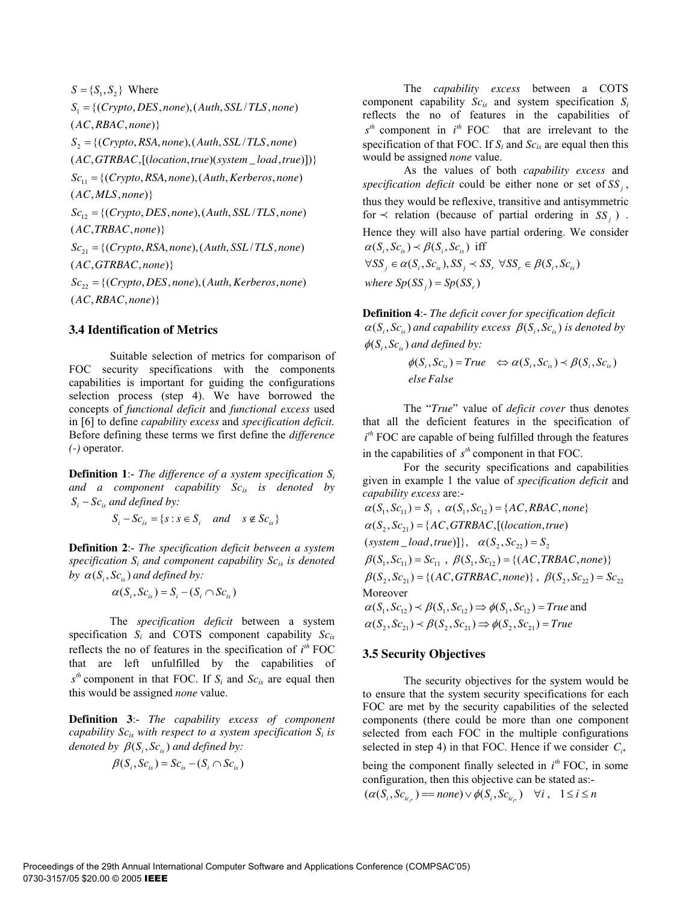$S = \{S_1, S_2\}$  Where  $S_1 = \{ (Crypto, DES, none), (Auth, SSL/TLS, none)$  $(AC, RBAC, none)$  $S_2 = \{ (Crypto, RSA, none), (Auth, SSL/TLS, none)$  $(AC, GTRBAC, [(location, true)(system \_load, true)])$  $Sc_{11} = \{(Crypto, RSA, none), (Auth, Kerberos, none)\}$  $(AC, MLS, none)$  $Sc_{12} = \{(Crypto, DES, none), (Auth, SSL/TLS, none)$  $(AC, TRBAC, none)$  $Sc_{21} = \{(Crypto, RSA, none), (Auth, SSL/TLS, none)$  $(AC, GTRBAC, none)$  $Sc_{22} = \{(Crypto, DES, none), (Auth, Kerberos, none)\}$  $(AC, RBAC, none)$ 

#### **3.4 Identification of Metrics**

Suitable selection of metrics for comparison of FOC security specifications with the components capabilities is important for guiding the configurations selection process (step 4). We have borrowed the concepts of *functional deficit* and *functional excess* used in [6] to define *capability excess* and *specification deficit.* Before defining these terms we first define the *difference (-)* operator.

**Definition 1**:- *The difference of a system specification Si and a component capability Scis is denoted by*  $S_i - Sc_{i}$  *and defined by:* 

$$
S_i - Sc_{is} = \{s : s \in S_i \quad and \quad s \notin Sc_{is}\}\
$$

**Definition 2**:- *The specification deficit between a system specification*  $S_i$  *and component capability*  $Sc_{is}$  *is denoted by*  $\alpha(S_i, Sc_i)$  *and defined by:* 

$$
\alpha(S_i, Sc_{is}) = S_i - (S_i \cap Sc_{is})
$$

 The *specification deficit* between a system specification *Si* and COTS component capability *Scis* reflects the no of features in the specification of  $i<sup>th</sup>$  FOC that are left unfulfilled by the capabilities of  $s<sup>th</sup>$  component in that FOC. If  $S_i$  and  $Sc_{is}$  are equal then this would be assigned *none* value.

**Definition 3**:- *The capability excess of component capability*  $Sc_{is}$  with respect to a system specification  $S_i$  is *denoted by*  $\beta(S_i, Sc_i)$  *and defined by:* 

$$
\beta(S_i, Sc_{is}) = Sc_{is} - (S_i \cap Sc_{is})
$$

 The *capability excess* between a COTS component capability *Scis* and system specification *Si* reflects the no of features in the capabilities of  $s<sup>th</sup>$  component in  $i<sup>th</sup>$  FOC that are irrelevant to the specification of that FOC. If *S <sup>i</sup>* and *Scis* are equal then this would be assigned *none* value.

As the values of both *capability excess* and *specification deficit* could be either none or set of  $SS<sub>i</sub>$ , thus they would be reflexive, transitive and antisymmetric for  $\prec$  relation (because of partial ordering in SS<sub>i</sub>). Hence they will also have partial ordering. We consider  $\alpha(S_i, Sc_{is}) \prec \beta(S_i, Sc_{is})$  iff  $\forall SS_j \in \alpha(S_i, Sc_{is}), SS_j \prec SS_r \forall SS_r \in \beta(S_i, Sc_{is})$ 

where  $Sp(SS_j) = Sp(SS_r)$ 

**Definition 4**:- *The deficit cover for specification deficit*  $\alpha(S_i, Sc_i)$  *and capability excess*  $\beta(S_i, Sc_i)$  *is denoted by*  $\phi(S_i, Sc_i)$  and defined by:

$$
\phi(S_i, Sc_{is}) = True \Leftrightarrow \alpha(S_i, Sc_{is}) \prec \beta(S_i, Sc_{is})
$$
  
else False

 The "*True*" value of *deficit cover* thus denotes that all the deficient features in the specification of *i*<sup>th</sup> FOC are capable of being fulfilled through the features in the capabilities of  $s<sup>th</sup>$  component in that FOC.

For the security specifications and capabilities given in example 1 the value of *specification deficit* and *capability excess* are:-

 $\alpha(S_1, Sc_{11}) = S_1$ ,  $\alpha(S_1, Sc_{12}) = \{AC, RBAC, none\}$  $\alpha(S_2, Sc_{21}) = \{AC, GTRBAC, [(location, true)\}$  $(system\_load, true)]$ ,  $\alpha(S_2, Sc_{22}) = S_2$  $\beta(S_1, Sc_{11}) = Sc_{11}$ ,  $\beta(S_1, Sc_{12}) = \{(AC,TRBAC, none)\}$  $\beta(S_2, Sc_{21}) = \{(AC, GTRBAC, none)\}, \ \beta(S_2, Sc_{22}) = Sc_{22}$ Moreover  $\alpha(S_1, Sc_{12}) \prec \beta(S_1, Sc_{12}) \Rightarrow \phi(S_1, Sc_{12}) = True$  and  $\alpha(S_1, Sc_{21}) \prec \beta(S_1, Sc_{21}) \Rightarrow \phi(S_2, Sc_{21}) = True$ 

#### **3.5 Security Objectives**

The security objectives for the system would be to ensure that the system security specifications for each FOC are met by the security capabilities of the selected components (there could be more than one component selected from each FOC in the multiple configurations selected in step 4) in that FOC. Hence if we consider  $C_{i^*}$ 

being the component finally selected in  $i^{th}$  FOC, in some configuration, then this objective can be stated as:-

$$
(\alpha(S_i, Sc_{ic_{i^*}}) = none) \vee \phi(S_i, Sc_{ic_{i^*}}) \quad \forall i, \quad 1 \le i \le n
$$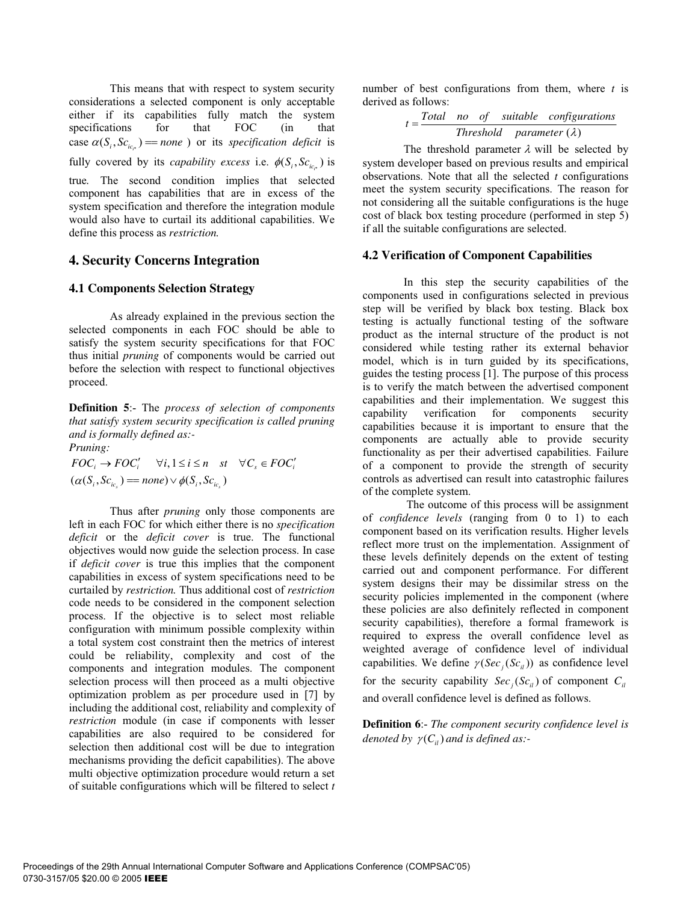This means that with respect to system security considerations a selected component is only acceptable either if its capabilities fully match the system<br>specifications for that FOC (in that specifications for that FOC (in that case  $\alpha(S_i, Sc_{i\alpha}) = none$  ) or its *specification deficit* is fully covered by its *capability excess* i.e.  $\phi(S_i, Sc_{i\epsilon})$  is

true*.* The second condition implies that selected component has capabilities that are in excess of the system specification and therefore the integration module would also have to curtail its additional capabilities. We define this process as *restriction.*

## **4. Security Concerns Integration**

## **4.1 Components Selection Strategy**

As already explained in the previous section the selected components in each FOC should be able to satisfy the system security specifications for that FOC thus initial *pruning* of components would be carried out before the selection with respect to functional objectives proceed.

**Definition 5**:- The *process of selection of components that satisfy system security specification is called pruning and is formally defined as:-*

*Pruning:*

 $FOC_i \rightarrow FOC'_i \quad \forall i, 1 \leq i \leq n \quad st \quad \forall C_s \in FOC'_i$  $(\alpha(S_i, Sc_{ic}) = none) \vee \phi(S_i, Sc_{ic})$ 

 Thus after *pruning* only those components are left in each FOC for which either there is no *specification deficit* or the *deficit cover* is true. The functional objectives would now guide the selection process. In case if *deficit cover* is true this implies that the component capabilities in excess of system specifications need to be curtailed by *restriction.* Thus additional cost of *restriction* code needs to be considered in the component selection process. If the objective is to select most reliable configuration with minimum possible complexity within a total system cost constraint then the metrics of interest could be reliability, complexity and cost of the components and integration modules. The component selection process will then proceed as a multi objective optimization problem as per procedure used in [7] by including the additional cost, reliability and complexity of *restriction* module (in case if components with lesser capabilities are also required to be considered for selection then additional cost will be due to integration mechanisms providing the deficit capabilities). The above multi objective optimization procedure would return a set of suitable configurations which will be filtered to select *t* number of best configurations from them, where *t* is derived as follows:

 $=\frac{3}{2}$  Threshold parameter ( $\lambda$ )  $t = \frac{Total \t no \t of \t suitable \t configurations}$ 

The threshold parameter  $\lambda$  will be selected by system developer based on previous results and empirical observations. Note that all the selected *t* configurations meet the system security specifications. The reason for not considering all the suitable configurations is the huge cost of black box testing procedure (performed in step 5) if all the suitable configurations are selected.

## **4.2 Verification of Component Capabilities**

In this step the security capabilities of the components used in configurations selected in previous step will be verified by black box testing. Black box testing is actually functional testing of the software product as the internal structure of the product is not considered while testing rather its external behavior model, which is in turn guided by its specifications, guides the testing process [1]. The purpose of this process is to verify the match between the advertised component capabilities and their implementation. We suggest this capability verification for components security capability verification for components security capabilities because it is important to ensure that the components are actually able to provide security functionality as per their advertised capabilities. Failure of a component to provide the strength of security controls as advertised can result into catastrophic failures of the complete system.

The outcome of this process will be assignment of *confidence levels* (ranging from 0 to 1) to each component based on its verification results. Higher levels reflect more trust on the implementation. Assignment of these levels definitely depends on the extent of testing carried out and component performance. For different system designs their may be dissimilar stress on the security policies implemented in the component (where these policies are also definitely reflected in component security capabilities), therefore a formal framework is required to express the overall confidence level as weighted average of confidence level of individual capabilities. We define  $\gamma (Sec_i(Sc_i))$  as confidence level for the security capability  $Sec_j(Sc_{ii})$  of component  $C_{ii}$ and overall confidence level is defined as follows.

**Definition 6**:- *The component security confidence level is denoted by*  $\gamma(C_i)$  *and is defined as:-*